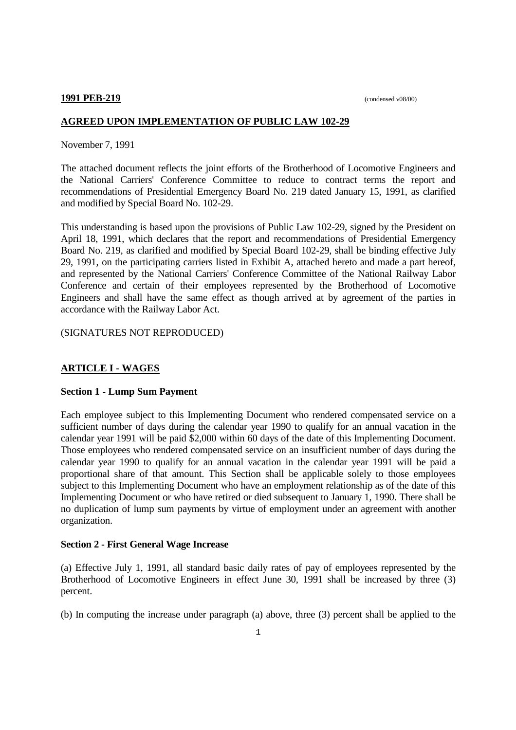#### **1991 PEB-219** (condensed v08/00)

## **AGREED UPON IMPLEMENTATION OF PUBLIC LAW 102-29**

November 7, 1991

The attached document reflects the joint efforts of the Brotherhood of Locomotive Engineers and the National Carriers' Conference Committee to reduce to contract terms the report and recommendations of Presidential Emergency Board No. 219 dated January 15, 1991, as clarified and modified by Special Board No. 102-29.

This understanding is based upon the provisions of Public Law 102-29, signed by the President on April 18, 1991, which declares that the report and recommendations of Presidential Emergency Board No. 219, as clarified and modified by Special Board 102-29, shall be binding effective July 29, 1991, on the participating carriers listed in Exhibit A, attached hereto and made a part hereof, and represented by the National Carriers' Conference Committee of the National Railway Labor Conference and certain of their employees represented by the Brotherhood of Locomotive Engineers and shall have the same effect as though arrived at by agreement of the parties in accordance with the Railway Labor Act.

(SIGNATURES NOT REPRODUCED)

# **ARTICLE I - WAGES**

## **Section 1 - Lump Sum Payment**

Each employee subject to this Implementing Document who rendered compensated service on a sufficient number of days during the calendar year 1990 to qualify for an annual vacation in the calendar year 1991 will be paid \$2,000 within 60 days of the date of this Implementing Document. Those employees who rendered compensated service on an insufficient number of days during the calendar year 1990 to qualify for an annual vacation in the calendar year 1991 will be paid a proportional share of that amount. This Section shall be applicable solely to those employees subject to this Implementing Document who have an employment relationship as of the date of this Implementing Document or who have retired or died subsequent to January 1, 1990. There shall be no duplication of lump sum payments by virtue of employment under an agreement with another organization.

## **Section 2 - First General Wage Increase**

(a) Effective July 1, 1991, all standard basic daily rates of pay of employees represented by the Brotherhood of Locomotive Engineers in effect June 30, 1991 shall be increased by three (3) percent.

(b) In computing the increase under paragraph (a) above, three (3) percent shall be applied to the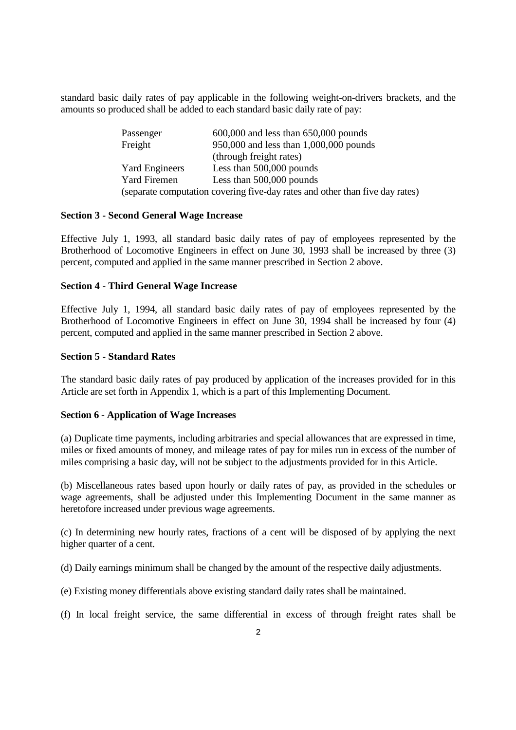standard basic daily rates of pay applicable in the following weight-on-drivers brackets, and the amounts so produced shall be added to each standard basic daily rate of pay:

| Passenger                                                                    | $600,000$ and less than $650,000$ pounds |  |  |
|------------------------------------------------------------------------------|------------------------------------------|--|--|
| Freight                                                                      | 950,000 and less than 1,000,000 pounds   |  |  |
|                                                                              | (through freight rates)                  |  |  |
| <b>Yard Engineers</b>                                                        | Less than 500,000 pounds                 |  |  |
| <b>Yard Firemen</b>                                                          | Less than 500,000 pounds                 |  |  |
| (separate computation covering five-day rates and other than five day rates) |                                          |  |  |

## **Section 3 - Second General Wage Increase**

Effective July 1, 1993, all standard basic daily rates of pay of employees represented by the Brotherhood of Locomotive Engineers in effect on June 30, 1993 shall be increased by three (3) percent, computed and applied in the same manner prescribed in Section 2 above.

## **Section 4 - Third General Wage Increase**

Effective July 1, 1994, all standard basic daily rates of pay of employees represented by the Brotherhood of Locomotive Engineers in effect on June 30, 1994 shall be increased by four (4) percent, computed and applied in the same manner prescribed in Section 2 above.

## **Section 5 - Standard Rates**

The standard basic daily rates of pay produced by application of the increases provided for in this Article are set forth in Appendix 1, which is a part of this Implementing Document.

## **Section 6 - Application of Wage Increases**

(a) Duplicate time payments, including arbitraries and special allowances that are expressed in time, miles or fixed amounts of money, and mileage rates of pay for miles run in excess of the number of miles comprising a basic day, will not be subject to the adjustments provided for in this Article.

(b) Miscellaneous rates based upon hourly or daily rates of pay, as provided in the schedules or wage agreements, shall be adjusted under this Implementing Document in the same manner as heretofore increased under previous wage agreements.

(c) In determining new hourly rates, fractions of a cent will be disposed of by applying the next higher quarter of a cent.

(d) Daily earnings minimum shall be changed by the amount of the respective daily adjustments.

(e) Existing money differentials above existing standard daily rates shall be maintained.

(f) In local freight service, the same differential in excess of through freight rates shall be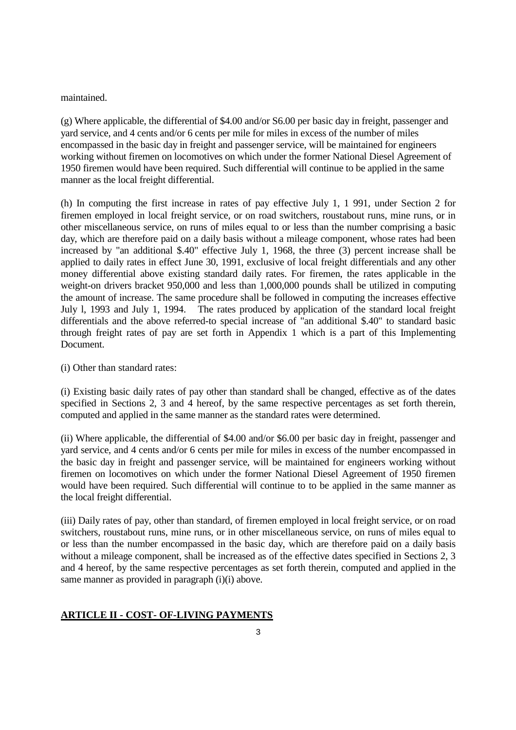maintained.

(g) Where applicable, the differential of \$4.00 and/or S6.00 per basic day in freight, passenger and yard service, and 4 cents and/or 6 cents per mile for miles in excess of the number of miles encompassed in the basic day in freight and passenger service, will be maintained for engineers working without firemen on locomotives on which under the former National Diesel Agreement of 1950 firemen would have been required. Such differential will continue to be applied in the same manner as the local freight differential.

(h) In computing the first increase in rates of pay effective July 1, 1 991, under Section 2 for firemen employed in local freight service, or on road switchers, roustabout runs, mine runs, or in other miscellaneous service, on runs of miles equal to or less than the number comprising a basic day, which are therefore paid on a daily basis without a mileage component, whose rates had been increased by "an additional \$.40" effective July 1, 1968, the three (3) percent increase shall be applied to daily rates in effect June 30, 1991, exclusive of local freight differentials and any other money differential above existing standard daily rates. For firemen, the rates applicable in the weight-on drivers bracket 950,000 and less than 1,000,000 pounds shall be utilized in computing the amount of increase. The same procedure shall be followed in computing the increases effective July l, 1993 and July 1, 1994. The rates produced by application of the standard local freight differentials and the above referred-to special increase of "an additional \$.40" to standard basic through freight rates of pay are set forth in Appendix 1 which is a part of this Implementing Document.

(i) Other than standard rates:

(i) Existing basic daily rates of pay other than standard shall be changed, effective as of the dates specified in Sections 2, 3 and 4 hereof, by the same respective percentages as set forth therein, computed and applied in the same manner as the standard rates were determined.

(ii) Where applicable, the differential of \$4.00 and/or \$6.00 per basic day in freight, passenger and yard service, and 4 cents and/or 6 cents per mile for miles in excess of the number encompassed in the basic day in freight and passenger service, will be maintained for engineers working without firemen on locomotives on which under the former National Diesel Agreement of 1950 firemen would have been required. Such differential will continue to to be applied in the same manner as the local freight differential.

(iii) Daily rates of pay, other than standard, of firemen employed in local freight service, or on road switchers, roustabout runs, mine runs, or in other miscellaneous service, on runs of miles equal to or less than the number encompassed in the basic day, which are therefore paid on a daily basis without a mileage component, shall be increased as of the effective dates specified in Sections 2, 3 and 4 hereof, by the same respective percentages as set forth therein, computed and applied in the same manner as provided in paragraph (i)(i) above.

## **ARTICLE II - COST- OF-LIVING PAYMENTS**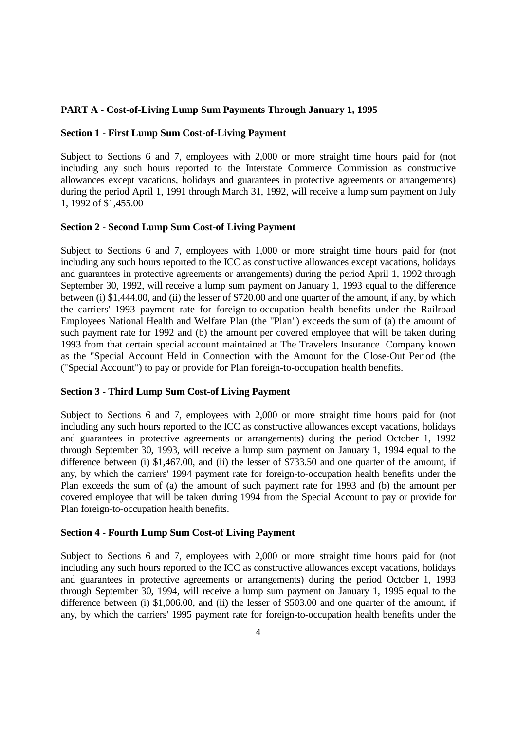## **PART A - Cost-of-Living Lump Sum Payments Through January 1, 1995**

#### **Section 1 - First Lump Sum Cost-of-Living Payment**

Subject to Sections 6 and 7, employees with 2,000 or more straight time hours paid for (not including any such hours reported to the Interstate Commerce Commission as constructive allowances except vacations, holidays and guarantees in protective agreements or arrangements) during the period April 1, 1991 through March 31, 1992, will receive a lump sum payment on July 1, 1992 of \$1,455.00

## **Section 2 - Second Lump Sum Cost-of Living Payment**

Subject to Sections 6 and 7, employees with 1,000 or more straight time hours paid for (not including any such hours reported to the ICC as constructive allowances except vacations, holidays and guarantees in protective agreements or arrangements) during the period April 1, 1992 through September 30, 1992, will receive a lump sum payment on January 1, 1993 equal to the difference between (i) \$1,444.00, and (ii) the lesser of \$720.00 and one quarter of the amount, if any, by which the carriers' 1993 payment rate for foreign-to-occupation health benefits under the Railroad Employees National Health and Welfare Plan (the "Plan") exceeds the sum of (a) the amount of such payment rate for 1992 and (b) the amount per covered employee that will be taken during 1993 from that certain special account maintained at The Travelers Insurance Company known as the "Special Account Held in Connection with the Amount for the Close-Out Period (the ("Special Account") to pay or provide for Plan foreign-to-occupation health benefits.

#### **Section 3 - Third Lump Sum Cost-of Living Payment**

Subject to Sections 6 and 7, employees with 2,000 or more straight time hours paid for (not including any such hours reported to the ICC as constructive allowances except vacations, holidays and guarantees in protective agreements or arrangements) during the period October 1, 1992 through September 30, 1993, will receive a lump sum payment on January 1, 1994 equal to the difference between (i) \$1,467.00, and (ii) the lesser of \$733.50 and one quarter of the amount, if any, by which the carriers' 1994 payment rate for foreign-to-occupation health benefits under the Plan exceeds the sum of (a) the amount of such payment rate for 1993 and (b) the amount per covered employee that will be taken during 1994 from the Special Account to pay or provide for Plan foreign-to-occupation health benefits.

#### **Section 4 - Fourth Lump Sum Cost-of Living Payment**

Subject to Sections 6 and 7, employees with 2,000 or more straight time hours paid for (not including any such hours reported to the ICC as constructive allowances except vacations, holidays and guarantees in protective agreements or arrangements) during the period October 1, 1993 through September 30, 1994, will receive a lump sum payment on January 1, 1995 equal to the difference between (i) \$1,006.00, and (ii) the lesser of \$503.00 and one quarter of the amount, if any, by which the carriers' 1995 payment rate for foreign-to-occupation health benefits under the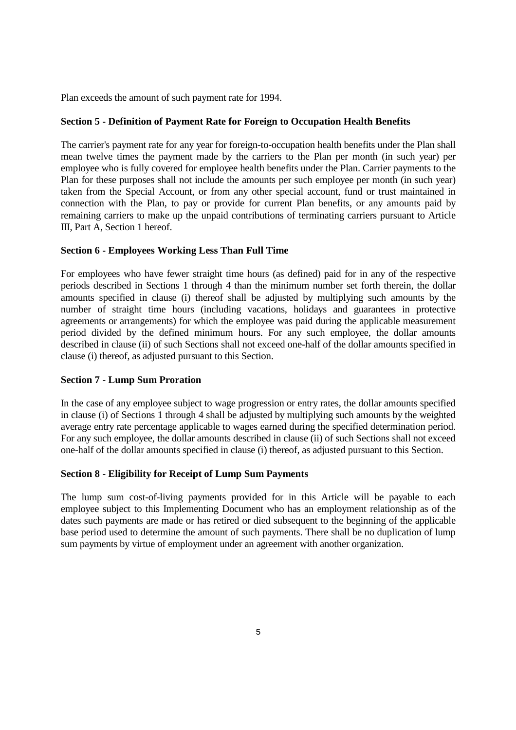Plan exceeds the amount of such payment rate for 1994.

## **Section 5 - Definition of Payment Rate for Foreign to Occupation Health Benefits**

The carrier's payment rate for any year for foreign-to-occupation health benefits under the Plan shall mean twelve times the payment made by the carriers to the Plan per month (in such year) per employee who is fully covered for employee health benefits under the Plan. Carrier payments to the Plan for these purposes shall not include the amounts per such employee per month (in such year) taken from the Special Account, or from any other special account, fund or trust maintained in connection with the Plan, to pay or provide for current Plan benefits, or any amounts paid by remaining carriers to make up the unpaid contributions of terminating carriers pursuant to Article III, Part A, Section 1 hereof.

## **Section 6 - Employees Working Less Than Full Time**

For employees who have fewer straight time hours (as defined) paid for in any of the respective periods described in Sections 1 through 4 than the minimum number set forth therein, the dollar amounts specified in clause (i) thereof shall be adjusted by multiplying such amounts by the number of straight time hours (including vacations, holidays and guarantees in protective agreements or arrangements) for which the employee was paid during the applicable measurement period divided by the defined minimum hours. For any such employee, the dollar amounts described in clause (ii) of such Sections shall not exceed one-half of the dollar amounts specified in clause (i) thereof, as adjusted pursuant to this Section.

## **Section 7 - Lump Sum Proration**

In the case of any employee subject to wage progression or entry rates, the dollar amounts specified in clause (i) of Sections 1 through 4 shall be adjusted by multiplying such amounts by the weighted average entry rate percentage applicable to wages earned during the specified determination period. For any such employee, the dollar amounts described in clause (ii) of such Sections shall not exceed one-half of the dollar amounts specified in clause (i) thereof, as adjusted pursuant to this Section.

## **Section 8 - Eligibility for Receipt of Lump Sum Payments**

The lump sum cost-of-living payments provided for in this Article will be payable to each employee subject to this Implementing Document who has an employment relationship as of the dates such payments are made or has retired or died subsequent to the beginning of the applicable base period used to determine the amount of such payments. There shall be no duplication of lump sum payments by virtue of employment under an agreement with another organization.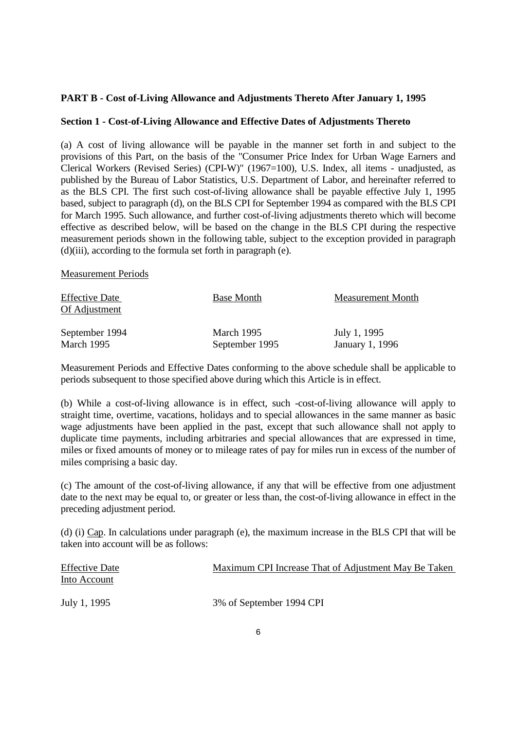## **PART B - Cost of-Living Allowance and Adjustments Thereto After January 1, 1995**

## **Section 1 - Cost-of-Living Allowance and Effective Dates of Adjustments Thereto**

(a) A cost of living allowance will be payable in the manner set forth in and subject to the provisions of this Part, on the basis of the "Consumer Price Index for Urban Wage Earners and Clerical Workers (Revised Series) (CPI-W)" (1967=100), U.S. Index, all items - unadjusted, as published by the Bureau of Labor Statistics, U.S. Department of Labor, and hereinafter referred to as the BLS CPI. The first such cost-of-living allowance shall be payable effective July 1, 1995 based, subject to paragraph (d), on the BLS CPI for September 1994 as compared with the BLS CPI for March 1995. Such allowance, and further cost-of-living adjustments thereto which will become effective as described below, will be based on the change in the BLS CPI during the respective measurement periods shown in the following table, subject to the exception provided in paragraph (d)(iii), according to the formula set forth in paragraph (e).

Measurement Periods

| <b>Effective Date</b><br>Of Adjustment | <b>Base Month</b> | <b>Measurement Month</b> |
|----------------------------------------|-------------------|--------------------------|
| September 1994                         | March 1995        | July 1, 1995             |
| March 1995                             | September 1995    | January 1, 1996          |

Measurement Periods and Effective Dates conforming to the above schedule shall be applicable to periods subsequent to those specified above during which this Article is in effect.

(b) While a cost-of-living allowance is in effect, such -cost-of-living allowance will apply to straight time, overtime, vacations, holidays and to special allowances in the same manner as basic wage adjustments have been applied in the past, except that such allowance shall not apply to duplicate time payments, including arbitraries and special allowances that are expressed in time, miles or fixed amounts of money or to mileage rates of pay for miles run in excess of the number of miles comprising a basic day.

(c) The amount of the cost-of-living allowance, if any that will be effective from one adjustment date to the next may be equal to, or greater or less than, the cost-of-living allowance in effect in the preceding adjustment period.

(d) (i) Cap. In calculations under paragraph (e), the maximum increase in the BLS CPI that will be taken into account will be as follows:

| <b>Effective Date</b><br>Into Account | Maximum CPI Increase That of Adjustment May Be Taken |
|---------------------------------------|------------------------------------------------------|
| July 1, 1995                          | 3% of September 1994 CPI                             |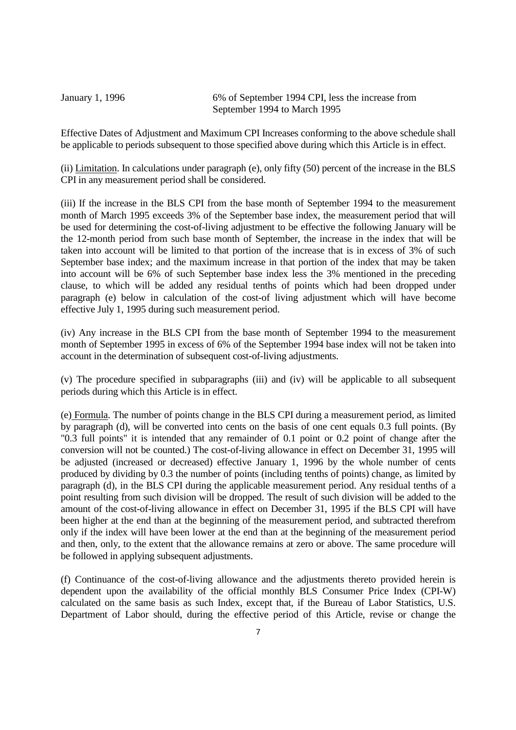January 1, 1996 6% of September 1994 CPI, less the increase from September 1994 to March 1995

Effective Dates of Adjustment and Maximum CPI Increases conforming to the above schedule shall be applicable to periods subsequent to those specified above during which this Article is in effect.

(ii) Limitation. In calculations under paragraph (e), only fifty (50) percent of the increase in the BLS CPI in any measurement period shall be considered.

(iii) If the increase in the BLS CPI from the base month of September 1994 to the measurement month of March 1995 exceeds 3% of the September base index, the measurement period that will be used for determining the cost-of-living adjustment to be effective the following January will be the 12-month period from such base month of September, the increase in the index that will be taken into account will be limited to that portion of the increase that is in excess of 3% of such September base index; and the maximum increase in that portion of the index that may be taken into account will be 6% of such September base index less the 3% mentioned in the preceding clause, to which will be added any residual tenths of points which had been dropped under paragraph (e) below in calculation of the cost-of living adjustment which will have become effective July 1, 1995 during such measurement period.

(iv) Any increase in the BLS CPI from the base month of September 1994 to the measurement month of September 1995 in excess of 6% of the September 1994 base index will not be taken into account in the determination of subsequent cost-of-living adjustments.

(v) The procedure specified in subparagraphs (iii) and (iv) will be applicable to all subsequent periods during which this Article is in effect.

(e) Formula. The number of points change in the BLS CPI during a measurement period, as limited by paragraph (d), will be converted into cents on the basis of one cent equals 0.3 full points. (By "0.3 full points" it is intended that any remainder of 0.1 point or 0.2 point of change after the conversion will not be counted.) The cost-of-living allowance in effect on December 31, 1995 will be adjusted (increased or decreased) effective January 1, 1996 by the whole number of cents produced by dividing by 0.3 the number of points (including tenths of points) change, as limited by paragraph (d), in the BLS CPI during the applicable measurement period. Any residual tenths of a point resulting from such division will be dropped. The result of such division will be added to the amount of the cost-of-living allowance in effect on December 31, 1995 if the BLS CPI will have been higher at the end than at the beginning of the measurement period, and subtracted therefrom only if the index will have been lower at the end than at the beginning of the measurement period and then, only, to the extent that the allowance remains at zero or above. The same procedure will be followed in applying subsequent adjustments.

(f) Continuance of the cost-of-living allowance and the adjustments thereto provided herein is dependent upon the availability of the official monthly BLS Consumer Price Index (CPI-W) calculated on the same basis as such Index, except that, if the Bureau of Labor Statistics, U.S. Department of Labor should, during the effective period of this Article, revise or change the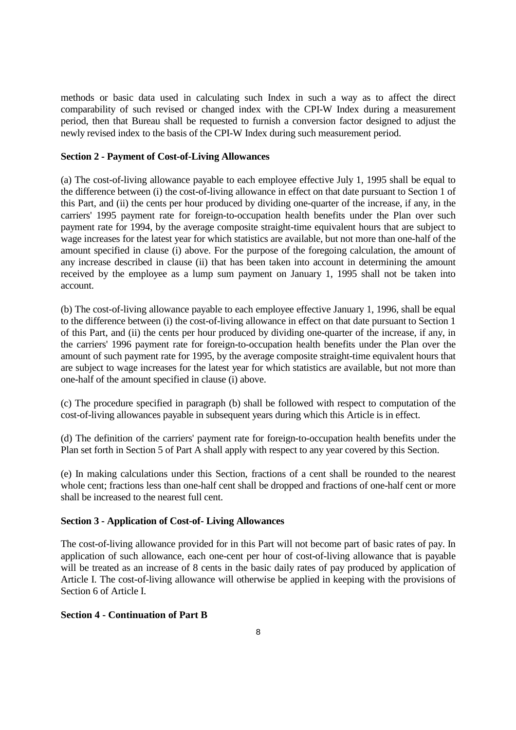methods or basic data used in calculating such Index in such a way as to affect the direct comparability of such revised or changed index with the CPI-W Index during a measurement period, then that Bureau shall be requested to furnish a conversion factor designed to adjust the newly revised index to the basis of the CPI-W Index during such measurement period.

## **Section 2 - Payment of Cost-of-Living Allowances**

(a) The cost-of-living allowance payable to each employee effective July 1, 1995 shall be equal to the difference between (i) the cost-of-living allowance in effect on that date pursuant to Section 1 of this Part, and (ii) the cents per hour produced by dividing one-quarter of the increase, if any, in the carriers' 1995 payment rate for foreign-to-occupation health benefits under the Plan over such payment rate for 1994, by the average composite straight-time equivalent hours that are subject to wage increases for the latest year for which statistics are available, but not more than one-half of the amount specified in clause (i) above. For the purpose of the foregoing calculation, the amount of any increase described in clause (ii) that has been taken into account in determining the amount received by the employee as a lump sum payment on January 1, 1995 shall not be taken into account.

(b) The cost-of-living allowance payable to each employee effective January 1, 1996, shall be equal to the difference between (i) the cost-of-living allowance in effect on that date pursuant to Section 1 of this Part, and (ii) the cents per hour produced by dividing one-quarter of the increase, if any, in the carriers' 1996 payment rate for foreign-to-occupation health benefits under the Plan over the amount of such payment rate for 1995, by the average composite straight-time equivalent hours that are subject to wage increases for the latest year for which statistics are available, but not more than one-half of the amount specified in clause (i) above.

(c) The procedure specified in paragraph (b) shall be followed with respect to computation of the cost-of-living allowances payable in subsequent years during which this Article is in effect.

(d) The definition of the carriers' payment rate for foreign-to-occupation health benefits under the Plan set forth in Section 5 of Part A shall apply with respect to any year covered by this Section.

(e) In making calculations under this Section, fractions of a cent shall be rounded to the nearest whole cent; fractions less than one-half cent shall be dropped and fractions of one-half cent or more shall be increased to the nearest full cent.

## **Section 3 - Application of Cost-of- Living Allowances**

The cost-of-living allowance provided for in this Part will not become part of basic rates of pay. In application of such allowance, each one-cent per hour of cost-of-living allowance that is payable will be treated as an increase of 8 cents in the basic daily rates of pay produced by application of Article I. The cost-of-living allowance will otherwise be applied in keeping with the provisions of Section 6 of Article I.

## **Section 4 - Continuation of Part B**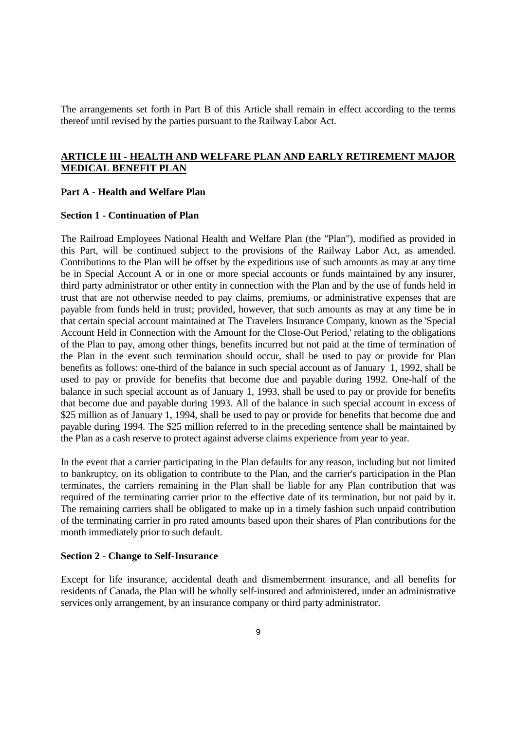The arrangements set forth in Part B of this Article shall remain in effect according to the terms thereof until revised by the parties pursuant to the Railway Labor Act.

# **ARTICLE III - HEALTH AND WELFARE PLAN AND EARLY RETIREMENT MAJOR MEDICAL BENEFIT PLAN**

#### **Part A - Health and Welfare Plan**

#### **Section 1 - Continuation of Plan**

The Railroad Employees National Health and Welfare Plan (the "Plan"), modified as provided in this Part, will be continued subject to the provisions of the Railway Labor Act, as amended. Contributions to the Plan will be offset by the expeditious use of such amounts as may at any time be in Special Account A or in one or more special accounts or funds maintained by any insurer, third party administrator or other entity in connection with the Plan and by the use of funds held in trust that are not otherwise needed to pay claims, premiums, or administrative expenses that are payable from funds held in trust; provided, however, that such amounts as may at any time be in that certain special account maintained at The Travelers Insurance Company, known as the 'Special Account Held in Connection with the Amount for the Close-Out Period,' relating to the obligations of the Plan to pay, among other things, benefits incurred but not paid at the time of termination of the Plan in the event such termination should occur, shall be used to pay or provide for Plan benefits as follows: one-third of the balance in such special account as of January 1, 1992, shall be used to pay or provide for benefits that become due and payable during 1992. One-half of the balance in such special account as of January 1, 1993, shall be used to pay or provide for benefits that become due and payable during 1993. All of the balance in such special account in excess of \$25 million as of January 1, 1994, shall be used to pay or provide for benefits that become due and payable during 1994. The \$25 million referred to in the preceding sentence shall be maintained by the Plan as a cash reserve to protect against adverse claims experience from year to year.

In the event that a carrier participating in the Plan defaults for any reason, including but not limited to bankruptcy, on its obligation to contribute to the Plan, and the carrier's participation in the Plan terminates, the carriers remaining in the Plan shall be liable for any Plan contribution that was required of the terminating carrier prior to the effective date of its termination, but not paid by it. The remaining carriers shall be obligated to make up in a timely fashion such unpaid contribution of the terminating carrier in pro rated amounts based upon their shares of Plan contributions for the month immediately prior to such default.

#### **Section 2 - Change to Self-Insurance**

Except for life insurance, accidental death and dismemberment insurance, and all benefits for residents of Canada, the Plan will be wholly self-insured and administered, under an administrative services only arrangement, by an insurance company or third party administrator.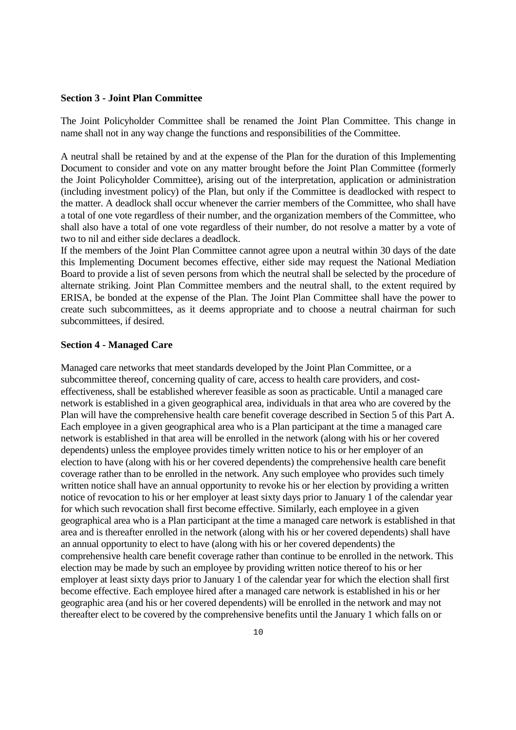#### **Section 3 - Joint Plan Committee**

The Joint Policyholder Committee shall be renamed the Joint Plan Committee. This change in name shall not in any way change the functions and responsibilities of the Committee.

A neutral shall be retained by and at the expense of the Plan for the duration of this Implementing Document to consider and vote on any matter brought before the Joint Plan Committee (formerly the Joint Policyholder Committee), arising out of the interpretation, application or administration (including investment policy) of the Plan, but only if the Committee is deadlocked with respect to the matter. A deadlock shall occur whenever the carrier members of the Committee, who shall have a total of one vote regardless of their number, and the organization members of the Committee, who shall also have a total of one vote regardless of their number, do not resolve a matter by a vote of two to nil and either side declares a deadlock.

If the members of the Joint Plan Committee cannot agree upon a neutral within 30 days of the date this Implementing Document becomes effective, either side may request the National Mediation Board to provide a list of seven persons from which the neutral shall be selected by the procedure of alternate striking. Joint Plan Committee members and the neutral shall, to the extent required by ERISA, be bonded at the expense of the Plan. The Joint Plan Committee shall have the power to create such subcommittees, as it deems appropriate and to choose a neutral chairman for such subcommittees, if desired.

#### **Section 4 - Managed Care**

Managed care networks that meet standards developed by the Joint Plan Committee, or a subcommittee thereof, concerning quality of care, access to health care providers, and costeffectiveness, shall be established wherever feasible as soon as practicable. Until a managed care network is established in a given geographical area, individuals in that area who are covered by the Plan will have the comprehensive health care benefit coverage described in Section 5 of this Part A. Each employee in a given geographical area who is a Plan participant at the time a managed care network is established in that area will be enrolled in the network (along with his or her covered dependents) unless the employee provides timely written notice to his or her employer of an election to have (along with his or her covered dependents) the comprehensive health care benefit coverage rather than to be enrolled in the network. Any such employee who provides such timely written notice shall have an annual opportunity to revoke his or her election by providing a written notice of revocation to his or her employer at least sixty days prior to January 1 of the calendar year for which such revocation shall first become effective. Similarly, each employee in a given geographical area who is a Plan participant at the time a managed care network is established in that area and is thereafter enrolled in the network (along with his or her covered dependents) shall have an annual opportunity to elect to have (along with his or her covered dependents) the comprehensive health care benefit coverage rather than continue to be enrolled in the network. This election may be made by such an employee by providing written notice thereof to his or her employer at least sixty days prior to January 1 of the calendar year for which the election shall first become effective. Each employee hired after a managed care network is established in his or her geographic area (and his or her covered dependents) will be enrolled in the network and may not thereafter elect to be covered by the comprehensive benefits until the January 1 which falls on or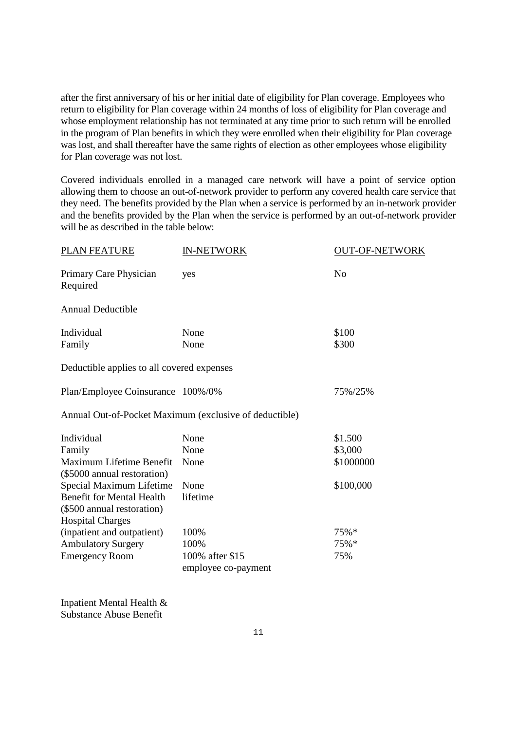after the first anniversary of his or her initial date of eligibility for Plan coverage. Employees who return to eligibility for Plan coverage within 24 months of loss of eligibility for Plan coverage and whose employment relationship has not terminated at any time prior to such return will be enrolled in the program of Plan benefits in which they were enrolled when their eligibility for Plan coverage was lost, and shall thereafter have the same rights of election as other employees whose eligibility for Plan coverage was not lost.

Covered individuals enrolled in a managed care network will have a point of service option allowing them to choose an out-of-network provider to perform any covered health care service that they need. The benefits provided by the Plan when a service is performed by an in-network provider and the benefits provided by the Plan when the service is performed by an out-of-network provider will be as described in the table below:

| <b>PLAN FEATURE</b>                                                                       | <b>IN-NETWORK</b>                                      | <b>OUT-OF-NETWORK</b> |  |
|-------------------------------------------------------------------------------------------|--------------------------------------------------------|-----------------------|--|
| Primary Care Physician<br>Required                                                        | yes                                                    | N <sub>o</sub>        |  |
| <b>Annual Deductible</b>                                                                  |                                                        |                       |  |
| Individual<br>Family                                                                      | None<br>None                                           | \$100<br>\$300        |  |
| Deductible applies to all covered expenses                                                |                                                        |                       |  |
| Plan/Employee Coinsurance 100%/0%                                                         |                                                        | 75%/25%               |  |
|                                                                                           | Annual Out-of-Pocket Maximum (exclusive of deductible) |                       |  |
| Individual                                                                                | None                                                   | \$1.500               |  |
| Family                                                                                    | None                                                   | \$3,000               |  |
| Maximum Lifetime Benefit<br>(\$5000 annual restoration)                                   | None                                                   | \$1000000             |  |
| Special Maximum Lifetime                                                                  | None                                                   | \$100,000             |  |
| <b>Benefit for Mental Health</b><br>(\$500 annual restoration)<br><b>Hospital Charges</b> | lifetime                                               |                       |  |
| (inpatient and outpatient)                                                                | 100%                                                   | 75%*                  |  |
| <b>Ambulatory Surgery</b>                                                                 | 100%                                                   | 75%*                  |  |
| <b>Emergency Room</b>                                                                     | 100% after \$15<br>employee co-payment                 | 75%                   |  |

Inpatient Mental Health & Substance Abuse Benefit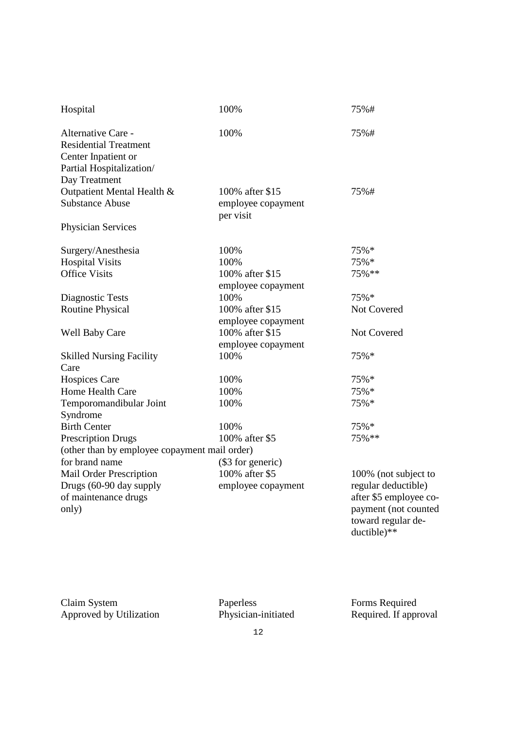| Hospital                                      | 100%               | 75%#                   |  |  |  |
|-----------------------------------------------|--------------------|------------------------|--|--|--|
| Alternative Care -                            | 100%               | 75%#                   |  |  |  |
| <b>Residential Treatment</b>                  |                    |                        |  |  |  |
| Center Inpatient or                           |                    |                        |  |  |  |
| Partial Hospitalization/                      |                    |                        |  |  |  |
| Day Treatment                                 |                    |                        |  |  |  |
| Outpatient Mental Health &                    | 100% after \$15    | 75%#                   |  |  |  |
| <b>Substance Abuse</b>                        | employee copayment |                        |  |  |  |
|                                               | per visit          |                        |  |  |  |
| <b>Physician Services</b>                     |                    |                        |  |  |  |
| Surgery/Anesthesia                            | 100%               | 75%*                   |  |  |  |
| <b>Hospital Visits</b>                        | 100%               | 75%*                   |  |  |  |
| <b>Office Visits</b>                          | 100% after \$15    | 75%**                  |  |  |  |
|                                               | employee copayment |                        |  |  |  |
| Diagnostic Tests                              | 100%               | 75%*                   |  |  |  |
| <b>Routine Physical</b>                       | 100% after \$15    | Not Covered            |  |  |  |
|                                               | employee copayment |                        |  |  |  |
| <b>Well Baby Care</b>                         | 100% after \$15    | Not Covered            |  |  |  |
|                                               | employee copayment |                        |  |  |  |
| <b>Skilled Nursing Facility</b>               | 100%               | 75%*                   |  |  |  |
| Care                                          |                    |                        |  |  |  |
| <b>Hospices Care</b>                          | 100%               | 75%*                   |  |  |  |
| Home Health Care                              | 100%               | 75%*                   |  |  |  |
| Temporomandibular Joint                       | 100%               | 75%*                   |  |  |  |
| Syndrome                                      |                    |                        |  |  |  |
| <b>Birth Center</b>                           | 100%               | 75%*                   |  |  |  |
| <b>Prescription Drugs</b>                     | 100% after \$5     | 75%**                  |  |  |  |
| (other than by employee copayment mail order) |                    |                        |  |  |  |
| for brand name                                | (\$3 for generic)  |                        |  |  |  |
| <b>Mail Order Prescription</b>                | 100% after \$5     | 100% (not subject to   |  |  |  |
| Drugs (60-90 day supply                       | employee copayment | regular deductible)    |  |  |  |
| of maintenance drugs                          |                    | after \$5 employee co- |  |  |  |
| only)                                         |                    | payment (not counted   |  |  |  |
|                                               |                    | toward regular de-     |  |  |  |

Claim System Paperless Forms Required Approved by Utilization Physician-initiated Required. If approval

 $ductible)$ <sup>\*\*</sup>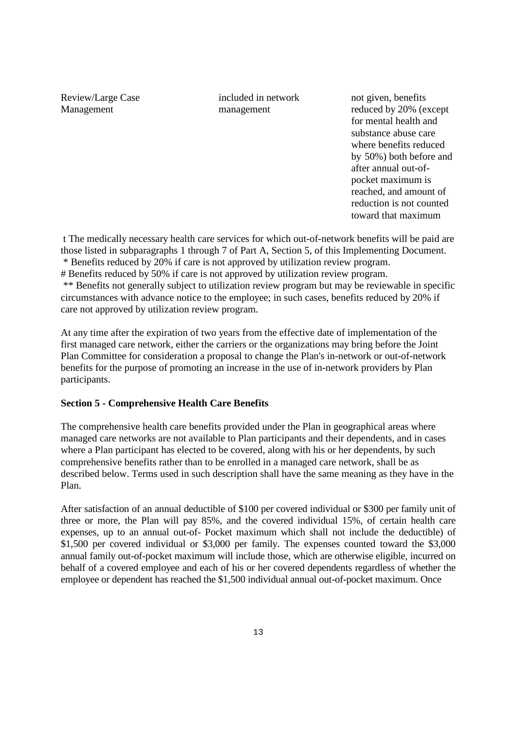Review/Large Case included in network not given, benefits

Management management reduced by 20% (except for mental health and substance abuse care where benefits reduced by 50%) both before and after annual out-ofpocket maximum is reached, and amount of reduction is not counted toward that maximum

t The medically necessary health care services for which out-of-network benefits will be paid are those listed in subparagraphs 1 through 7 of Part A, Section 5, of this Implementing Document. \* Benefits reduced by 20% if care is not approved by utilization review program.

# Benefits reduced by 50% if care is not approved by utilization review program. \*\* Benefits not generally subject to utilization review program but may be reviewable in specific circumstances with advance notice to the employee; in such cases, benefits reduced by 20% if care not approved by utilization review program.

At any time after the expiration of two years from the effective date of implementation of the first managed care network, either the carriers or the organizations may bring before the Joint Plan Committee for consideration a proposal to change the Plan's in-network or out-of-network benefits for the purpose of promoting an increase in the use of in-network providers by Plan participants.

## **Section 5 - Comprehensive Health Care Benefits**

The comprehensive health care benefits provided under the Plan in geographical areas where managed care networks are not available to Plan participants and their dependents, and in cases where a Plan participant has elected to be covered, along with his or her dependents, by such comprehensive benefits rather than to be enrolled in a managed care network, shall be as described below. Terms used in such description shall have the same meaning as they have in the Plan.

After satisfaction of an annual deductible of \$100 per covered individual or \$300 per family unit of three or more, the Plan will pay 85%, and the covered individual 15%, of certain health care expenses, up to an annual out-of- Pocket maximum which shall not include the deductible) of \$1,500 per covered individual or \$3,000 per family. The expenses counted toward the \$3,000 annual family out-of-pocket maximum will include those, which are otherwise eligible, incurred on behalf of a covered employee and each of his or her covered dependents regardless of whether the employee or dependent has reached the \$1,500 individual annual out-of-pocket maximum. Once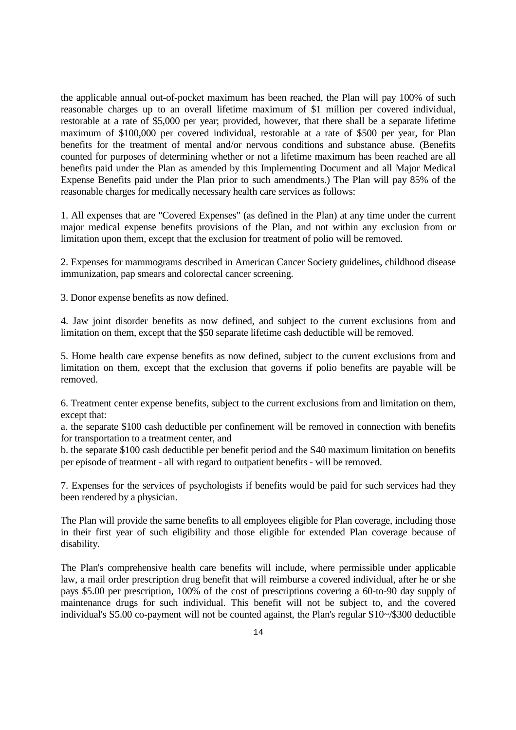the applicable annual out-of-pocket maximum has been reached, the Plan will pay 100% of such reasonable charges up to an overall lifetime maximum of \$1 million per covered individual, restorable at a rate of \$5,000 per year; provided, however, that there shall be a separate lifetime maximum of \$100,000 per covered individual, restorable at a rate of \$500 per year, for Plan benefits for the treatment of mental and/or nervous conditions and substance abuse. (Benefits counted for purposes of determining whether or not a lifetime maximum has been reached are all benefits paid under the Plan as amended by this Implementing Document and all Major Medical Expense Benefits paid under the Plan prior to such amendments.) The Plan will pay 85% of the reasonable charges for medically necessary health care services as follows:

1. All expenses that are "Covered Expenses" (as defined in the Plan) at any time under the current major medical expense benefits provisions of the Plan, and not within any exclusion from or limitation upon them, except that the exclusion for treatment of polio will be removed.

2. Expenses for mammograms described in American Cancer Society guidelines, childhood disease immunization, pap smears and colorectal cancer screening.

3. Donor expense benefits as now defined.

4. Jaw joint disorder benefits as now defined, and subject to the current exclusions from and limitation on them, except that the \$50 separate lifetime cash deductible will be removed.

5. Home health care expense benefits as now defined, subject to the current exclusions from and limitation on them, except that the exclusion that governs if polio benefits are payable will be removed.

6. Treatment center expense benefits, subject to the current exclusions from and limitation on them, except that:

a. the separate \$100 cash deductible per confinement will be removed in connection with benefits for transportation to a treatment center, and

b. the separate \$100 cash deductible per benefit period and the S40 maximum limitation on benefits per episode of treatment - all with regard to outpatient benefits - will be removed.

7. Expenses for the services of psychologists if benefits would be paid for such services had they been rendered by a physician.

The Plan will provide the same benefits to all employees eligible for Plan coverage, including those in their first year of such eligibility and those eligible for extended Plan coverage because of disability.

The Plan's comprehensive health care benefits will include, where permissible under applicable law, a mail order prescription drug benefit that will reimburse a covered individual, after he or she pays \$5.00 per prescription, 100% of the cost of prescriptions covering a 60-to-90 day supply of maintenance drugs for such individual. This benefit will not be subject to, and the covered individual's S5.00 co-payment will not be counted against, the Plan's regular S10~/\$300 deductible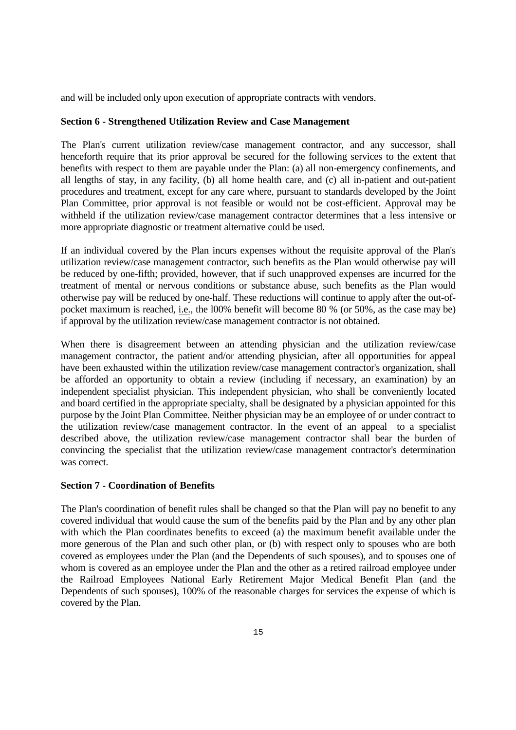and will be included only upon execution of appropriate contracts with vendors.

## **Section 6 - Strengthened Utilization Review and Case Management**

The Plan's current utilization review/case management contractor, and any successor, shall henceforth require that its prior approval be secured for the following services to the extent that benefits with respect to them are payable under the Plan: (a) all non-emergency confinements, and all lengths of stay, in any facility, (b) all home health care, and (c) all in-patient and out-patient procedures and treatment, except for any care where, pursuant to standards developed by the Joint Plan Committee, prior approval is not feasible or would not be cost-efficient. Approval may be withheld if the utilization review/case management contractor determines that a less intensive or more appropriate diagnostic or treatment alternative could be used.

If an individual covered by the Plan incurs expenses without the requisite approval of the Plan's utilization review/case management contractor, such benefits as the Plan would otherwise pay will be reduced by one-fifth; provided, however, that if such unapproved expenses are incurred for the treatment of mental or nervous conditions or substance abuse, such benefits as the Plan would otherwise pay will be reduced by one-half. These reductions will continue to apply after the out-ofpocket maximum is reached, i.e., the l00% benefit will become 80 % (or 50%, as the case may be) if approval by the utilization review/case management contractor is not obtained.

When there is disagreement between an attending physician and the utilization review/case management contractor, the patient and/or attending physician, after all opportunities for appeal have been exhausted within the utilization review/case management contractor's organization, shall be afforded an opportunity to obtain a review (including if necessary, an examination) by an independent specialist physician. This independent physician, who shall be conveniently located and board certified in the appropriate specialty, shall be designated by a physician appointed for this purpose by the Joint Plan Committee. Neither physician may be an employee of or under contract to the utilization review/case management contractor. In the event of an appeal to a specialist described above, the utilization review/case management contractor shall bear the burden of convincing the specialist that the utilization review/case management contractor's determination was correct.

## **Section 7 - Coordination of Benefits**

The Plan's coordination of benefit rules shall be changed so that the Plan will pay no benefit to any covered individual that would cause the sum of the benefits paid by the Plan and by any other plan with which the Plan coordinates benefits to exceed (a) the maximum benefit available under the more generous of the Plan and such other plan, or (b) with respect only to spouses who are both covered as employees under the Plan (and the Dependents of such spouses), and to spouses one of whom is covered as an employee under the Plan and the other as a retired railroad employee under the Railroad Employees National Early Retirement Major Medical Benefit Plan (and the Dependents of such spouses), 100% of the reasonable charges for services the expense of which is covered by the Plan.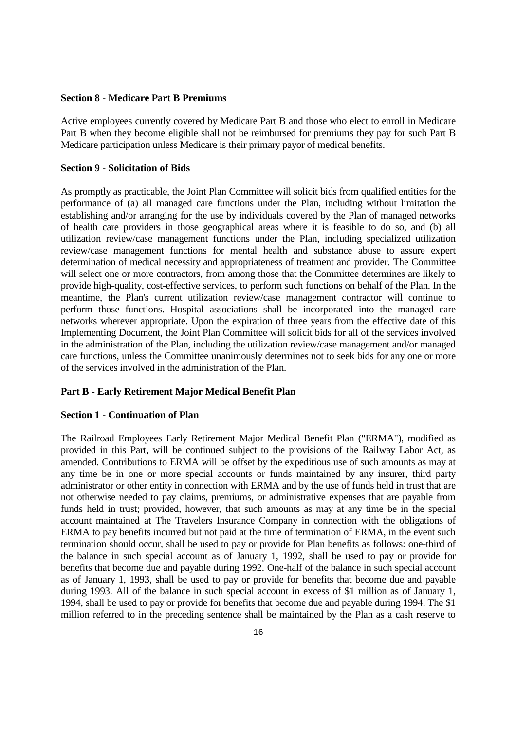#### **Section 8 - Medicare Part B Premiums**

Active employees currently covered by Medicare Part B and those who elect to enroll in Medicare Part B when they become eligible shall not be reimbursed for premiums they pay for such Part B Medicare participation unless Medicare is their primary payor of medical benefits.

#### **Section 9 - Solicitation of Bids**

As promptly as practicable, the Joint Plan Committee will solicit bids from qualified entities for the performance of (a) all managed care functions under the Plan, including without limitation the establishing and/or arranging for the use by individuals covered by the Plan of managed networks of health care providers in those geographical areas where it is feasible to do so, and (b) all utilization review/case management functions under the Plan, including specialized utilization review/case management functions for mental health and substance abuse to assure expert determination of medical necessity and appropriateness of treatment and provider. The Committee will select one or more contractors, from among those that the Committee determines are likely to provide high-quality, cost-effective services, to perform such functions on behalf of the Plan. In the meantime, the Plan's current utilization review/case management contractor will continue to perform those functions. Hospital associations shall be incorporated into the managed care networks wherever appropriate. Upon the expiration of three years from the effective date of this Implementing Document, the Joint Plan Committee will solicit bids for all of the services involved in the administration of the Plan, including the utilization review/case management and/or managed care functions, unless the Committee unanimously determines not to seek bids for any one or more of the services involved in the administration of the Plan.

#### **Part B - Early Retirement Major Medical Benefit Plan**

#### **Section 1 - Continuation of Plan**

The Railroad Employees Early Retirement Major Medical Benefit Plan ("ERMA"), modified as provided in this Part, will be continued subject to the provisions of the Railway Labor Act, as amended. Contributions to ERMA will be offset by the expeditious use of such amounts as may at any time be in one or more special accounts or funds maintained by any insurer, third party administrator or other entity in connection with ERMA and by the use of funds held in trust that are not otherwise needed to pay claims, premiums, or administrative expenses that are payable from funds held in trust; provided, however, that such amounts as may at any time be in the special account maintained at The Travelers Insurance Company in connection with the obligations of ERMA to pay benefits incurred but not paid at the time of termination of ERMA, in the event such termination should occur, shall be used to pay or provide for Plan benefits as follows: one-third of the balance in such special account as of January 1, 1992, shall be used to pay or provide for benefits that become due and payable during 1992. One-half of the balance in such special account as of January 1, 1993, shall be used to pay or provide for benefits that become due and payable during 1993. All of the balance in such special account in excess of \$1 million as of January 1, 1994, shall be used to pay or provide for benefits that become due and payable during 1994. The \$1 million referred to in the preceding sentence shall be maintained by the Plan as a cash reserve to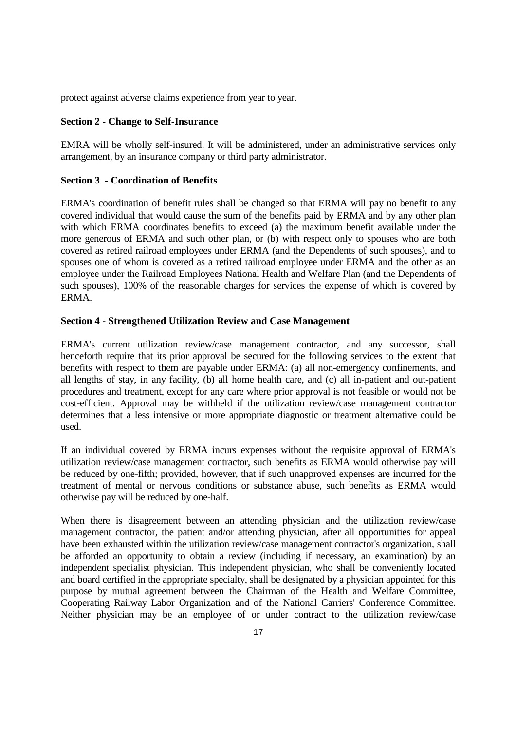protect against adverse claims experience from year to year.

## **Section 2 - Change to Self-Insurance**

EMRA will be wholly self-insured. It will be administered, under an administrative services only arrangement, by an insurance company or third party administrator.

## **Section 3 - Coordination of Benefits**

ERMA's coordination of benefit rules shall be changed so that ERMA will pay no benefit to any covered individual that would cause the sum of the benefits paid by ERMA and by any other plan with which ERMA coordinates benefits to exceed (a) the maximum benefit available under the more generous of ERMA and such other plan, or (b) with respect only to spouses who are both covered as retired railroad employees under ERMA (and the Dependents of such spouses), and to spouses one of whom is covered as a retired railroad employee under ERMA and the other as an employee under the Railroad Employees National Health and Welfare Plan (and the Dependents of such spouses), 100% of the reasonable charges for services the expense of which is covered by ERMA.

## **Section 4 - Strengthened Utilization Review and Case Management**

ERMA's current utilization review/case management contractor, and any successor, shall henceforth require that its prior approval be secured for the following services to the extent that benefits with respect to them are payable under ERMA: (a) all non-emergency confinements, and all lengths of stay, in any facility, (b) all home health care, and (c) all in-patient and out-patient procedures and treatment, except for any care where prior approval is not feasible or would not be cost-efficient. Approval may be withheld if the utilization review/case management contractor determines that a less intensive or more appropriate diagnostic or treatment alternative could be used.

If an individual covered by ERMA incurs expenses without the requisite approval of ERMA's utilization review/case management contractor, such benefits as ERMA would otherwise pay will be reduced by one-fifth; provided, however, that if such unapproved expenses are incurred for the treatment of mental or nervous conditions or substance abuse, such benefits as ERMA would otherwise pay will be reduced by one-half.

When there is disagreement between an attending physician and the utilization review/case management contractor, the patient and/or attending physician, after all opportunities for appeal have been exhausted within the utilization review/case management contractor's organization, shall be afforded an opportunity to obtain a review (including if necessary, an examination) by an independent specialist physician. This independent physician, who shall be conveniently located and board certified in the appropriate specialty, shall be designated by a physician appointed for this purpose by mutual agreement between the Chairman of the Health and Welfare Committee, Cooperating Railway Labor Organization and of the National Carriers' Conference Committee. Neither physician may be an employee of or under contract to the utilization review/case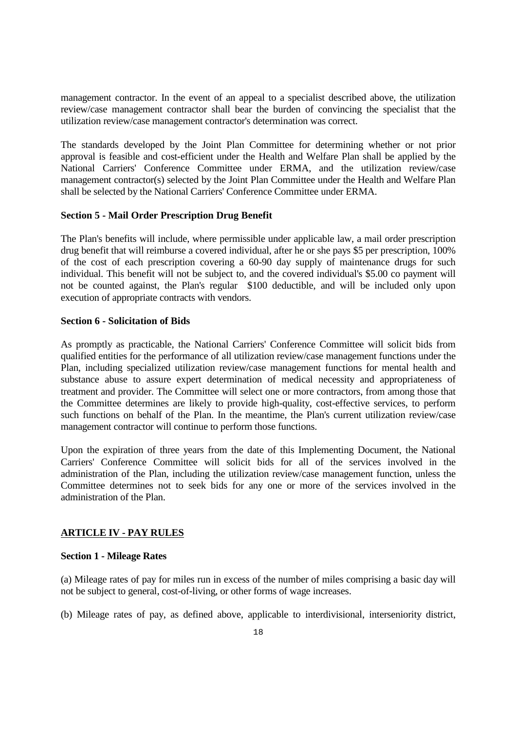management contractor. In the event of an appeal to a specialist described above, the utilization review/case management contractor shall bear the burden of convincing the specialist that the utilization review/case management contractor's determination was correct.

The standards developed by the Joint Plan Committee for determining whether or not prior approval is feasible and cost-efficient under the Health and Welfare Plan shall be applied by the National Carriers' Conference Committee under ERMA, and the utilization review/case management contractor(s) selected by the Joint Plan Committee under the Health and Welfare Plan shall be selected by the National Carriers' Conference Committee under ERMA.

## **Section 5 - Mail Order Prescription Drug Benefit**

The Plan's benefits will include, where permissible under applicable law, a mail order prescription drug benefit that will reimburse a covered individual, after he or she pays \$5 per prescription, 100% of the cost of each prescription covering a 60-90 day supply of maintenance drugs for such individual. This benefit will not be subject to, and the covered individual's \$5.00 co payment will not be counted against, the Plan's regular \$100 deductible, and will be included only upon execution of appropriate contracts with vendors.

## **Section 6 - Solicitation of Bids**

As promptly as practicable, the National Carriers' Conference Committee will solicit bids from qualified entities for the performance of all utilization review/case management functions under the Plan, including specialized utilization review/case management functions for mental health and substance abuse to assure expert determination of medical necessity and appropriateness of treatment and provider. The Committee will select one or more contractors, from among those that the Committee determines are likely to provide high-quality, cost-effective services, to perform such functions on behalf of the Plan. In the meantime, the Plan's current utilization review/case management contractor will continue to perform those functions.

Upon the expiration of three years from the date of this Implementing Document, the National Carriers' Conference Committee will solicit bids for all of the services involved in the administration of the Plan, including the utilization review/case management function, unless the Committee determines not to seek bids for any one or more of the services involved in the administration of the Plan.

## **ARTICLE IV - PAY RULES**

## **Section 1 - Mileage Rates**

(a) Mileage rates of pay for miles run in excess of the number of miles comprising a basic day will not be subject to general, cost-of-living, or other forms of wage increases.

(b) Mileage rates of pay, as defined above, applicable to interdivisional, interseniority district,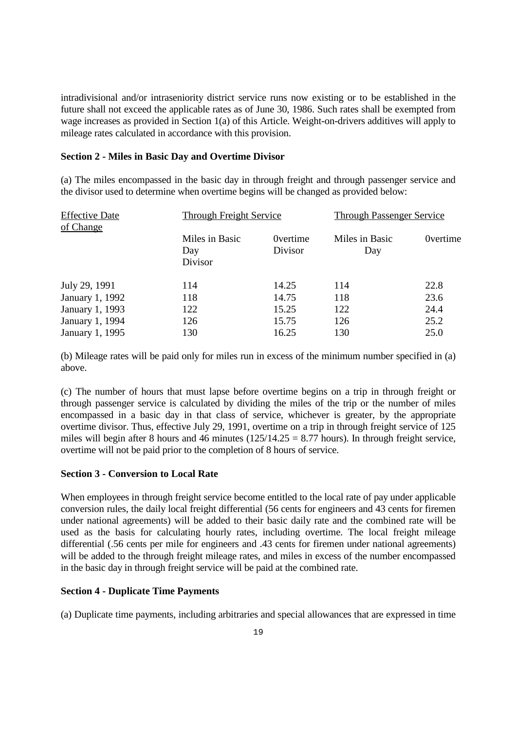intradivisional and/or intraseniority district service runs now existing or to be established in the future shall not exceed the applicable rates as of June 30, 1986. Such rates shall be exempted from wage increases as provided in Section 1(a) of this Article. Weight-on-drivers additives will apply to mileage rates calculated in accordance with this provision.

## **Section 2 - Miles in Basic Day and Overtime Divisor**

(a) The miles encompassed in the basic day in through freight and through passenger service and the divisor used to determine when overtime begins will be changed as provided below:

| <b>Effective Date</b><br>of Change |                                  | <b>Through Freight Service</b> |                       | <b>Through Passenger Service</b> |  |
|------------------------------------|----------------------------------|--------------------------------|-----------------------|----------------------------------|--|
|                                    | Miles in Basic<br>Day<br>Divisor | <b>Overtime</b><br>Divisor     | Miles in Basic<br>Day | <b>Overtime</b>                  |  |
| July 29, 1991                      | 114                              | 14.25                          | 114                   | 22.8                             |  |
| January 1, 1992                    | 118                              | 14.75                          | 118                   | 23.6                             |  |
| January 1, 1993                    | 122                              | 15.25                          | 122                   | 24.4                             |  |
| January 1, 1994                    | 126                              | 15.75                          | 126                   | 25.2                             |  |
| January 1, 1995                    | 130                              | 16.25                          | 130                   | 25.0                             |  |

(b) Mileage rates will be paid only for miles run in excess of the minimum number specified in (a) above.

(c) The number of hours that must lapse before overtime begins on a trip in through freight or through passenger service is calculated by dividing the miles of the trip or the number of miles encompassed in a basic day in that class of service, whichever is greater, by the appropriate overtime divisor. Thus, effective July 29, 1991, overtime on a trip in through freight service of 125 miles will begin after 8 hours and 46 minutes  $(125/14.25 = 8.77$  hours). In through freight service, overtime will not be paid prior to the completion of 8 hours of service.

## **Section 3 - Conversion to Local Rate**

When employees in through freight service become entitled to the local rate of pay under applicable conversion rules, the daily local freight differential (56 cents for engineers and 43 cents for firemen under national agreements) will be added to their basic daily rate and the combined rate will be used as the basis for calculating hourly rates, including overtime. The local freight mileage differential (.56 cents per mile for engineers and .43 cents for firemen under national agreements) will be added to the through freight mileage rates, and miles in excess of the number encompassed in the basic day in through freight service will be paid at the combined rate.

## **Section 4 - Duplicate Time Payments**

(a) Duplicate time payments, including arbitraries and special allowances that are expressed in time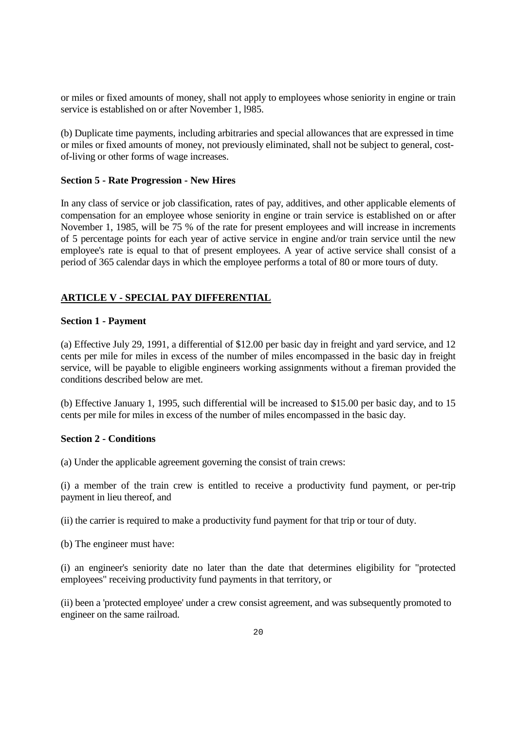or miles or fixed amounts of money, shall not apply to employees whose seniority in engine or train service is established on or after November 1, l985.

(b) Duplicate time payments, including arbitraries and special allowances that are expressed in time or miles or fixed amounts of money, not previously eliminated, shall not be subject to general, costof-living or other forms of wage increases.

## **Section 5 - Rate Progression - New Hires**

In any class of service or job classification, rates of pay, additives, and other applicable elements of compensation for an employee whose seniority in engine or train service is established on or after November 1, 1985, will be 75 % of the rate for present employees and will increase in increments of 5 percentage points for each year of active service in engine and/or train service until the new employee's rate is equal to that of present employees. A year of active service shall consist of a period of 365 calendar days in which the employee performs a total of 80 or more tours of duty.

# **ARTICLE V - SPECIAL PAY DIFFERENTIAL**

## **Section 1 - Payment**

(a) Effective July 29, 1991, a differential of \$12.00 per basic day in freight and yard service, and 12 cents per mile for miles in excess of the number of miles encompassed in the basic day in freight service, will be payable to eligible engineers working assignments without a fireman provided the conditions described below are met.

(b) Effective January 1, 1995, such differential will be increased to \$15.00 per basic day, and to 15 cents per mile for miles in excess of the number of miles encompassed in the basic day.

## **Section 2 - Conditions**

(a) Under the applicable agreement governing the consist of train crews:

(i) a member of the train crew is entitled to receive a productivity fund payment, or per-trip payment in lieu thereof, and

(ii) the carrier is required to make a productivity fund payment for that trip or tour of duty.

(b) The engineer must have:

(i) an engineer's seniority date no later than the date that determines eligibility for "protected employees" receiving productivity fund payments in that territory, or

(ii) been a 'protected employee' under a crew consist agreement, and was subsequently promoted to engineer on the same railroad.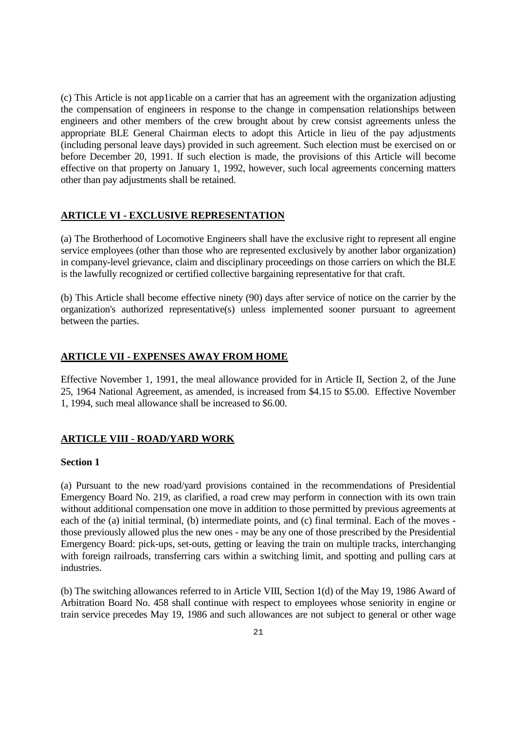(c) This Article is not app1icable on a carrier that has an agreement with the organization adjusting the compensation of engineers in response to the change in compensation relationships between engineers and other members of the crew brought about by crew consist agreements unless the appropriate BLE General Chairman elects to adopt this Article in lieu of the pay adjustments (including personal leave days) provided in such agreement. Such election must be exercised on or before December 20, 1991. If such election is made, the provisions of this Article will become effective on that property on January 1, 1992, however, such local agreements concerning matters other than pay adjustments shall be retained.

#### **ARTICLE VI - EXCLUSIVE REPRESENTATION**

(a) The Brotherhood of Locomotive Engineers shall have the exclusive right to represent all engine service employees (other than those who are represented exclusively by another labor organization) in company-level grievance, claim and disciplinary proceedings on those carriers on which the BLE is the lawfully recognized or certified collective bargaining representative for that craft.

(b) This Article shall become effective ninety (90) days after service of notice on the carrier by the organization's authorized representative(s) unless implemented sooner pursuant to agreement between the parties.

## **ARTICLE VII - EXPENSES AWAY FROM HOME**

Effective November 1, 1991, the meal allowance provided for in Article II, Section 2, of the June 25, 1964 National Agreement, as amended, is increased from \$4.15 to \$5.00. Effective November 1, 1994, such meal allowance shall be increased to \$6.00.

## **ARTICLE VIII - ROAD/YARD WORK**

## **Section 1**

(a) Pursuant to the new road/yard provisions contained in the recommendations of Presidential Emergency Board No. 219, as clarified, a road crew may perform in connection with its own train without additional compensation one move in addition to those permitted by previous agreements at each of the (a) initial terminal, (b) intermediate points, and (c) final terminal. Each of the moves those previously allowed plus the new ones - may be any one of those prescribed by the Presidential Emergency Board: pick-ups, set-outs, getting or leaving the train on multiple tracks, interchanging with foreign railroads, transferring cars within a switching limit, and spotting and pulling cars at industries.

(b) The switching allowances referred to in Article VIII, Section 1(d) of the May 19, 1986 Award of Arbitration Board No. 458 shall continue with respect to employees whose seniority in engine or train service precedes May 19, 1986 and such allowances are not subject to general or other wage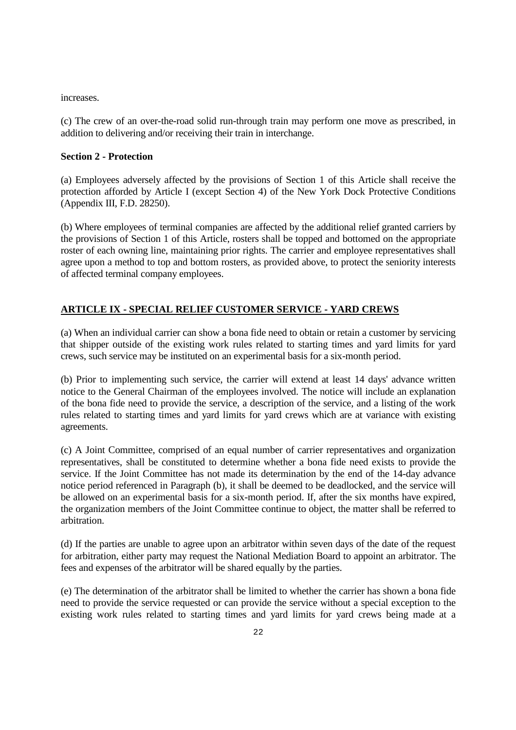increases.

(c) The crew of an over-the-road solid run-through train may perform one move as prescribed, in addition to delivering and/or receiving their train in interchange.

## **Section 2 - Protection**

(a) Employees adversely affected by the provisions of Section 1 of this Article shall receive the protection afforded by Article I (except Section 4) of the New York Dock Protective Conditions (Appendix III, F.D. 28250).

(b) Where employees of terminal companies are affected by the additional relief granted carriers by the provisions of Section 1 of this Article, rosters shall be topped and bottomed on the appropriate roster of each owning line, maintaining prior rights. The carrier and employee representatives shall agree upon a method to top and bottom rosters, as provided above, to protect the seniority interests of affected terminal company employees.

# **ARTICLE IX - SPECIAL RELIEF CUSTOMER SERVICE - YARD CREWS**

(a) When an individual carrier can show a bona fide need to obtain or retain a customer by servicing that shipper outside of the existing work rules related to starting times and yard limits for yard crews, such service may be instituted on an experimental basis for a six-month period.

(b) Prior to implementing such service, the carrier will extend at least 14 days' advance written notice to the General Chairman of the employees involved. The notice will include an explanation of the bona fide need to provide the service, a description of the service, and a listing of the work rules related to starting times and yard limits for yard crews which are at variance with existing agreements.

(c) A Joint Committee, comprised of an equal number of carrier representatives and organization representatives, shall be constituted to determine whether a bona fide need exists to provide the service. If the Joint Committee has not made its determination by the end of the 14-day advance notice period referenced in Paragraph (b), it shall be deemed to be deadlocked, and the service will be allowed on an experimental basis for a six-month period. If, after the six months have expired, the organization members of the Joint Committee continue to object, the matter shall be referred to arbitration.

(d) If the parties are unable to agree upon an arbitrator within seven days of the date of the request for arbitration, either party may request the National Mediation Board to appoint an arbitrator. The fees and expenses of the arbitrator will be shared equally by the parties.

(e) The determination of the arbitrator shall be limited to whether the carrier has shown a bona fide need to provide the service requested or can provide the service without a special exception to the existing work rules related to starting times and yard limits for yard crews being made at a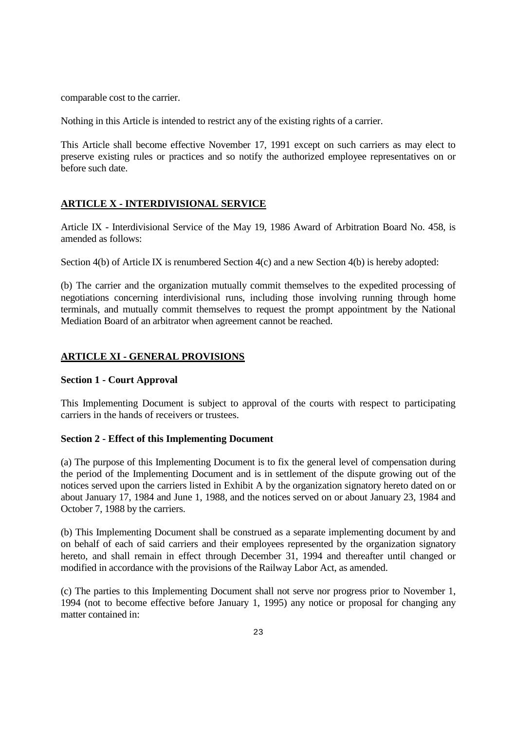comparable cost to the carrier.

Nothing in this Article is intended to restrict any of the existing rights of a carrier.

This Article shall become effective November 17, 1991 except on such carriers as may elect to preserve existing rules or practices and so notify the authorized employee representatives on or before such date.

## **ARTICLE X - INTERDIVISIONAL SERVICE**

Article IX - Interdivisional Service of the May 19, 1986 Award of Arbitration Board No. 458, is amended as follows:

Section 4(b) of Article IX is renumbered Section 4(c) and a new Section 4(b) is hereby adopted:

(b) The carrier and the organization mutually commit themselves to the expedited processing of negotiations concerning interdivisional runs, including those involving running through home terminals, and mutually commit themselves to request the prompt appointment by the National Mediation Board of an arbitrator when agreement cannot be reached.

## **ARTICLE XI - GENERAL PROVISIONS**

## **Section 1 - Court Approval**

This Implementing Document is subject to approval of the courts with respect to participating carriers in the hands of receivers or trustees.

## **Section 2 - Effect of this Implementing Document**

(a) The purpose of this Implementing Document is to fix the general level of compensation during the period of the Implementing Document and is in settlement of the dispute growing out of the notices served upon the carriers listed in Exhibit A by the organization signatory hereto dated on or about January 17, 1984 and June 1, 1988, and the notices served on or about January 23, 1984 and October 7, 1988 by the carriers.

(b) This Implementing Document shall be construed as a separate implementing document by and on behalf of each of said carriers and their employees represented by the organization signatory hereto, and shall remain in effect through December 31, 1994 and thereafter until changed or modified in accordance with the provisions of the Railway Labor Act, as amended.

(c) The parties to this Implementing Document shall not serve nor progress prior to November 1, 1994 (not to become effective before January 1, 1995) any notice or proposal for changing any matter contained in: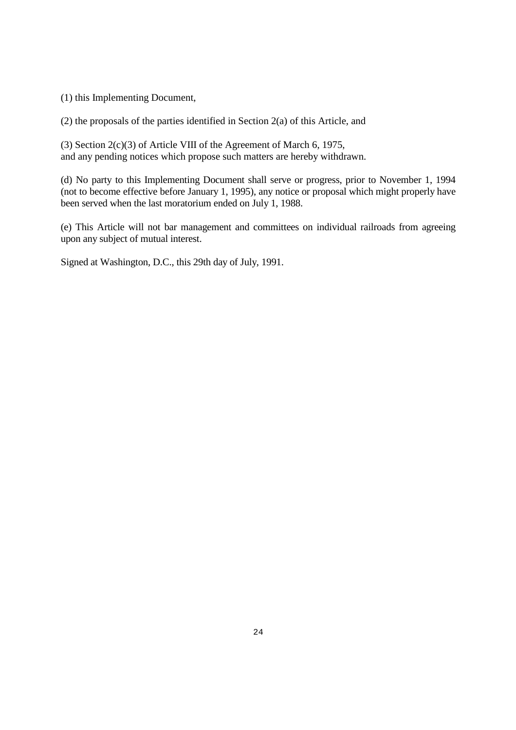(1) this Implementing Document,

(2) the proposals of the parties identified in Section 2(a) of this Article, and

(3) Section 2(c)(3) of Article VIII of the Agreement of March 6, 1975, and any pending notices which propose such matters are hereby withdrawn.

(d) No party to this Implementing Document shall serve or progress, prior to November 1, 1994 (not to become effective before January 1, 1995), any notice or proposal which might properly have been served when the last moratorium ended on July 1, 1988.

(e) This Article will not bar management and committees on individual railroads from agreeing upon any subject of mutual interest.

Signed at Washington, D.C., this 29th day of July, 1991.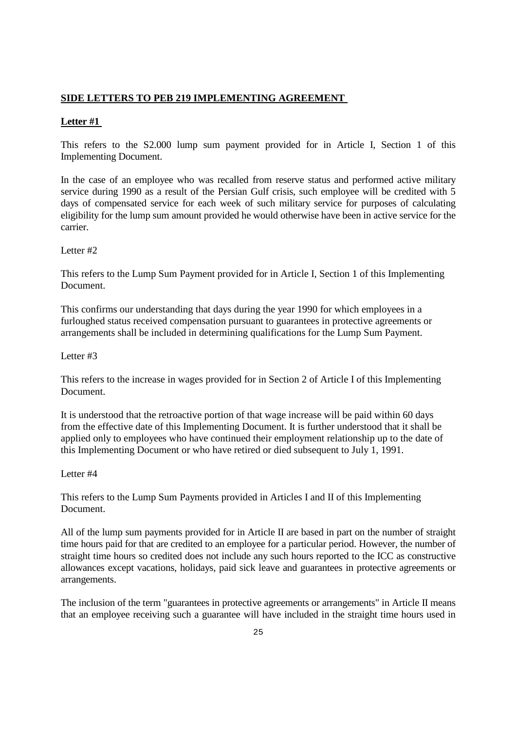# **SIDE LETTERS TO PEB 219 IMPLEMENTING AGREEMENT**

## **Letter #1**

This refers to the S2.000 lump sum payment provided for in Article I, Section 1 of this Implementing Document.

In the case of an employee who was recalled from reserve status and performed active military service during 1990 as a result of the Persian Gulf crisis, such employee will be credited with 5 days of compensated service for each week of such military service for purposes of calculating eligibility for the lump sum amount provided he would otherwise have been in active service for the carrier.

Letter #2

This refers to the Lump Sum Payment provided for in Article I, Section 1 of this Implementing Document.

This confirms our understanding that days during the year 1990 for which employees in a furloughed status received compensation pursuant to guarantees in protective agreements or arrangements shall be included in determining qualifications for the Lump Sum Payment.

Letter #3

This refers to the increase in wages provided for in Section 2 of Article I of this Implementing Document.

It is understood that the retroactive portion of that wage increase will be paid within 60 days from the effective date of this Implementing Document. It is further understood that it shall be applied only to employees who have continued their employment relationship up to the date of this Implementing Document or who have retired or died subsequent to July 1, 1991.

Letter #4

This refers to the Lump Sum Payments provided in Articles I and II of this Implementing Document.

All of the lump sum payments provided for in Article II are based in part on the number of straight time hours paid for that are credited to an employee for a particular period. However, the number of straight time hours so credited does not include any such hours reported to the ICC as constructive allowances except vacations, holidays, paid sick leave and guarantees in protective agreements or arrangements.

The inclusion of the term "guarantees in protective agreements or arrangements" in Article II means that an employee receiving such a guarantee will have included in the straight time hours used in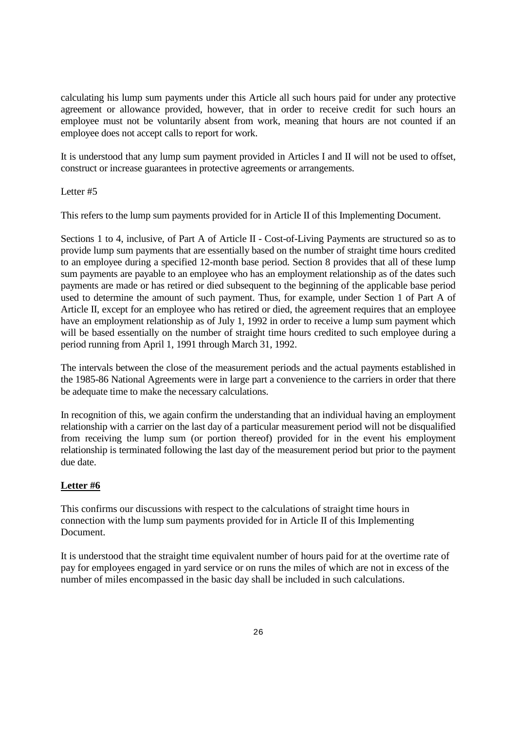calculating his lump sum payments under this Article all such hours paid for under any protective agreement or allowance provided, however, that in order to receive credit for such hours an employee must not be voluntarily absent from work, meaning that hours are not counted if an employee does not accept calls to report for work.

It is understood that any lump sum payment provided in Articles I and II will not be used to offset, construct or increase guarantees in protective agreements or arrangements.

Letter #5

This refers to the lump sum payments provided for in Article II of this Implementing Document.

Sections 1 to 4, inclusive, of Part A of Article II - Cost-of-Living Payments are structured so as to provide lump sum payments that are essentially based on the number of straight time hours credited to an employee during a specified 12-month base period. Section 8 provides that all of these lump sum payments are payable to an employee who has an employment relationship as of the dates such payments are made or has retired or died subsequent to the beginning of the applicable base period used to determine the amount of such payment. Thus, for example, under Section 1 of Part A of Article II, except for an employee who has retired or died, the agreement requires that an employee have an employment relationship as of July 1, 1992 in order to receive a lump sum payment which will be based essentially on the number of straight time hours credited to such employee during a period running from April 1, 1991 through March 31, 1992.

The intervals between the close of the measurement periods and the actual payments established in the 1985-86 National Agreements were in large part a convenience to the carriers in order that there be adequate time to make the necessary calculations.

In recognition of this, we again confirm the understanding that an individual having an employment relationship with a carrier on the last day of a particular measurement period will not be disqualified from receiving the lump sum (or portion thereof) provided for in the event his employment relationship is terminated following the last day of the measurement period but prior to the payment due date.

## **Letter #6**

This confirms our discussions with respect to the calculations of straight time hours in connection with the lump sum payments provided for in Article II of this Implementing Document.

It is understood that the straight time equivalent number of hours paid for at the overtime rate of pay for employees engaged in yard service or on runs the miles of which are not in excess of the number of miles encompassed in the basic day shall be included in such calculations.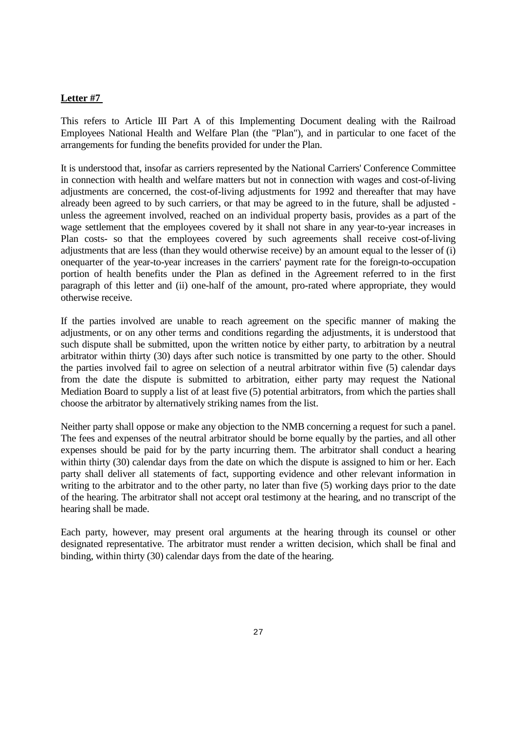## **Letter #7**

This refers to Article III Part A of this Implementing Document dealing with the Railroad Employees National Health and Welfare Plan (the "Plan"), and in particular to one facet of the arrangements for funding the benefits provided for under the Plan.

It is understood that, insofar as carriers represented by the National Carriers' Conference Committee in connection with health and welfare matters but not in connection with wages and cost-of-living adjustments are concerned, the cost-of-living adjustments for 1992 and thereafter that may have already been agreed to by such carriers, or that may be agreed to in the future, shall be adjusted unless the agreement involved, reached on an individual property basis, provides as a part of the wage settlement that the employees covered by it shall not share in any year-to-year increases in Plan costs- so that the employees covered by such agreements shall receive cost-of-living adjustments that are less (than they would otherwise receive) by an amount equal to the lesser of (i) onequarter of the year-to-year increases in the carriers' payment rate for the foreign-to-occupation portion of health benefits under the Plan as defined in the Agreement referred to in the first paragraph of this letter and (ii) one-half of the amount, pro-rated where appropriate, they would otherwise receive.

If the parties involved are unable to reach agreement on the specific manner of making the adjustments, or on any other terms and conditions regarding the adjustments, it is understood that such dispute shall be submitted, upon the written notice by either party, to arbitration by a neutral arbitrator within thirty (30) days after such notice is transmitted by one party to the other. Should the parties involved fail to agree on selection of a neutral arbitrator within five (5) calendar days from the date the dispute is submitted to arbitration, either party may request the National Mediation Board to supply a list of at least five (5) potential arbitrators, from which the parties shall choose the arbitrator by alternatively striking names from the list.

Neither party shall oppose or make any objection to the NMB concerning a request for such a panel. The fees and expenses of the neutral arbitrator should be borne equally by the parties, and all other expenses should be paid for by the party incurring them. The arbitrator shall conduct a hearing within thirty (30) calendar days from the date on which the dispute is assigned to him or her. Each party shall deliver all statements of fact, supporting evidence and other relevant information in writing to the arbitrator and to the other party, no later than five (5) working days prior to the date of the hearing. The arbitrator shall not accept oral testimony at the hearing, and no transcript of the hearing shall be made.

Each party, however, may present oral arguments at the hearing through its counsel or other designated representative. The arbitrator must render a written decision, which shall be final and binding, within thirty (30) calendar days from the date of the hearing.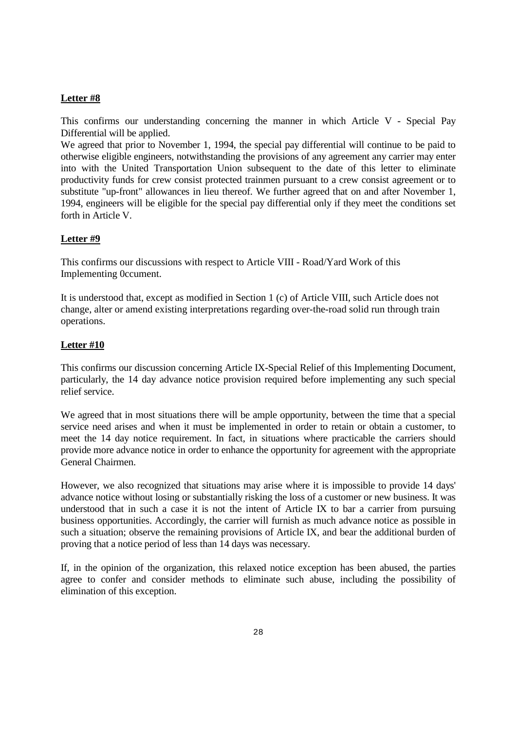# **Letter #8**

This confirms our understanding concerning the manner in which Article V - Special Pay Differential will be applied.

We agreed that prior to November 1, 1994, the special pay differential will continue to be paid to otherwise eligible engineers, notwithstanding the provisions of any agreement any carrier may enter into with the United Transportation Union subsequent to the date of this letter to eliminate productivity funds for crew consist protected trainmen pursuant to a crew consist agreement or to substitute "up-front" allowances in lieu thereof. We further agreed that on and after November 1, 1994, engineers will be eligible for the special pay differential only if they meet the conditions set forth in Article V.

## **Letter #9**

This confirms our discussions with respect to Article VIII - Road/Yard Work of this Implementing 0ccument.

It is understood that, except as modified in Section 1 (c) of Article VIII, such Article does not change, alter or amend existing interpretations regarding over-the-road solid run through train operations.

## **Letter #10**

This confirms our discussion concerning Article IX-Special Relief of this Implementing Document, particularly, the 14 day advance notice provision required before implementing any such special relief service.

We agreed that in most situations there will be ample opportunity, between the time that a special service need arises and when it must be implemented in order to retain or obtain a customer, to meet the 14 day notice requirement. In fact, in situations where practicable the carriers should provide more advance notice in order to enhance the opportunity for agreement with the appropriate General Chairmen.

However, we also recognized that situations may arise where it is impossible to provide 14 days' advance notice without losing or substantially risking the loss of a customer or new business. It was understood that in such a case it is not the intent of Article IX to bar a carrier from pursuing business opportunities. Accordingly, the carrier will furnish as much advance notice as possible in such a situation; observe the remaining provisions of Article IX, and bear the additional burden of proving that a notice period of less than 14 days was necessary.

If, in the opinion of the organization, this relaxed notice exception has been abused, the parties agree to confer and consider methods to eliminate such abuse, including the possibility of elimination of this exception.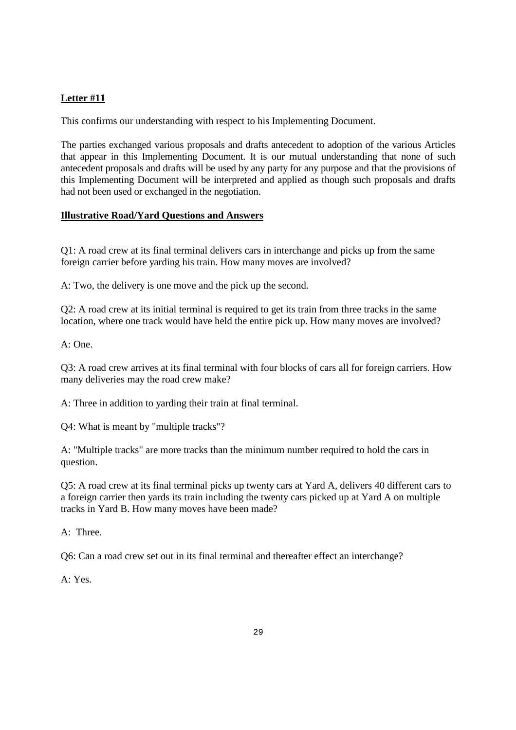# **Letter #11**

This confirms our understanding with respect to his Implementing Document.

The parties exchanged various proposals and drafts antecedent to adoption of the various Articles that appear in this Implementing Document. It is our mutual understanding that none of such antecedent proposals and drafts will be used by any party for any purpose and that the provisions of this Implementing Document will be interpreted and applied as though such proposals and drafts had not been used or exchanged in the negotiation.

## **Illustrative Road/Yard Questions and Answers**

Q1: A road crew at its final terminal delivers cars in interchange and picks up from the same foreign carrier before yarding his train. How many moves are involved?

A: Two, the delivery is one move and the pick up the second.

Q2: A road crew at its initial terminal is required to get its train from three tracks in the same location, where one track would have held the entire pick up. How many moves are involved?

A: One.

Q3: A road crew arrives at its final terminal with four blocks of cars all for foreign carriers. How many deliveries may the road crew make?

A: Three in addition to yarding their train at final terminal.

Q4: What is meant by "multiple tracks"?

A: "Multiple tracks" are more tracks than the minimum number required to hold the cars in question.

Q5: A road crew at its final terminal picks up twenty cars at Yard A, delivers 40 different cars to a foreign carrier then yards its train including the twenty cars picked up at Yard A on multiple tracks in Yard B. How many moves have been made?

A: Three.

Q6: Can a road crew set out in its final terminal and thereafter effect an interchange?

 $A \cdot Y_{PS}$